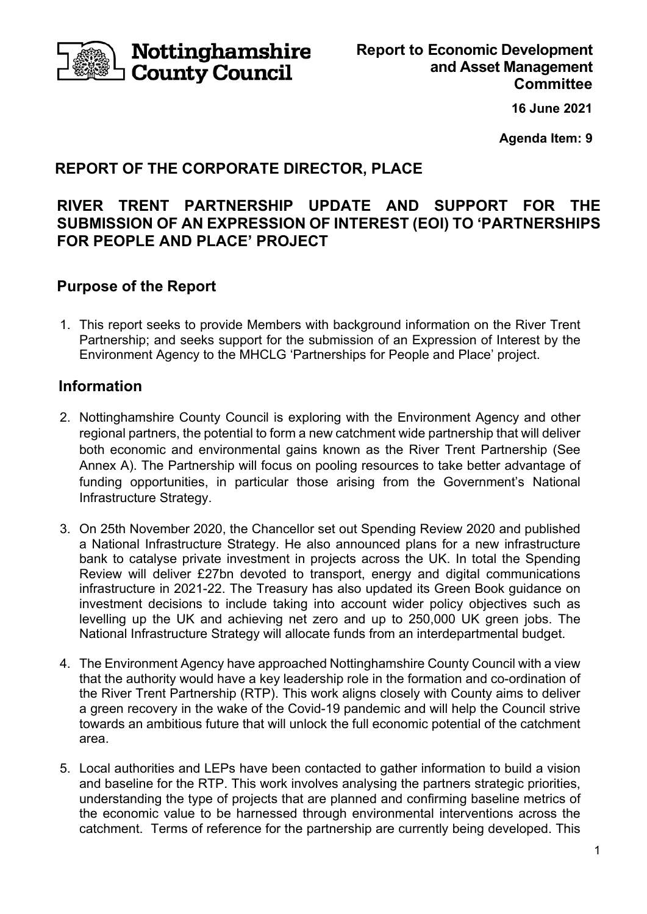

**Nottinghamshire County Council** 

**16 June 2021** 

**Agenda Item: 9** 

# **REPORT OF THE CORPORATE DIRECTOR, PLACE**

# **RIVER TRENT PARTNERSHIP UPDATE AND SUPPORT FOR THE SUBMISSION OF AN EXPRESSION OF INTEREST (EOI) TO 'PARTNERSHIPS FOR PEOPLE AND PLACE' PROJECT**

## **Purpose of the Report**

1. This report seeks to provide Members with background information on the River Trent Partnership; and seeks support for the submission of an Expression of Interest by the Environment Agency to the MHCLG 'Partnerships for People and Place' project.

## **Information**

- 2. Nottinghamshire County Council is exploring with the Environment Agency and other regional partners, the potential to form a new catchment wide partnership that will deliver both economic and environmental gains known as the River Trent Partnership (See Annex A). The Partnership will focus on pooling resources to take better advantage of funding opportunities, in particular those arising from the Government's National Infrastructure Strategy.
- 3. On 25th November 2020, the Chancellor set out Spending Review 2020 and published a National Infrastructure Strategy. He also announced plans for a new infrastructure bank to catalyse private investment in projects across the UK. In total the Spending Review will deliver £27bn devoted to transport, energy and digital communications infrastructure in 2021-22. The Treasury has also updated its Green Book guidance on investment decisions to include taking into account wider policy objectives such as levelling up the UK and achieving net zero and up to 250,000 UK green jobs. The National Infrastructure Strategy will allocate funds from an interdepartmental budget.
- 4. The Environment Agency have approached Nottinghamshire County Council with a view that the authority would have a key leadership role in the formation and co-ordination of the River Trent Partnership (RTP). This work aligns closely with County aims to deliver a green recovery in the wake of the Covid-19 pandemic and will help the Council strive towards an ambitious future that will unlock the full economic potential of the catchment area.
- 5. Local authorities and LEPs have been contacted to gather information to build a vision and baseline for the RTP. This work involves analysing the partners strategic priorities, understanding the type of projects that are planned and confirming baseline metrics of the economic value to be harnessed through environmental interventions across the catchment. Terms of reference for the partnership are currently being developed. This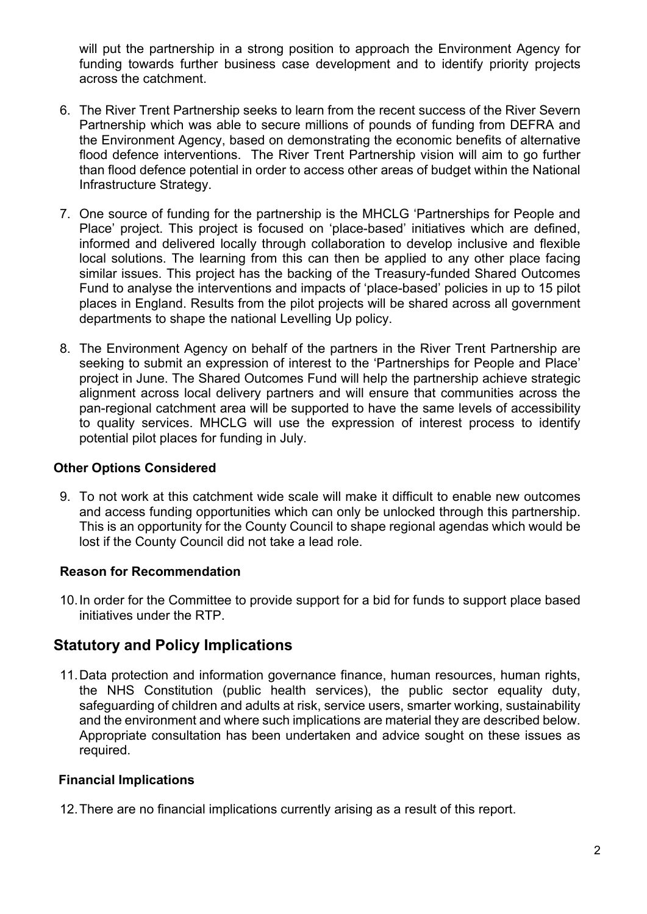will put the partnership in a strong position to approach the Environment Agency for funding towards further business case development and to identify priority projects across the catchment.

- 6. The River Trent Partnership seeks to learn from the recent success of the River Severn Partnership which was able to secure millions of pounds of funding from DEFRA and the Environment Agency, based on demonstrating the economic benefits of alternative flood defence interventions. The River Trent Partnership vision will aim to go further than flood defence potential in order to access other areas of budget within the National Infrastructure Strategy.
- 7. One source of funding for the partnership is the MHCLG 'Partnerships for People and Place' project. This project is focused on 'place-based' initiatives which are defined, informed and delivered locally through collaboration to develop inclusive and flexible local solutions. The learning from this can then be applied to any other place facing similar issues. This project has the backing of the Treasury-funded Shared Outcomes Fund to analyse the interventions and impacts of 'place-based' policies in up to 15 pilot places in England. Results from the pilot projects will be shared across all government departments to shape the national Levelling Up policy.
- 8. The Environment Agency on behalf of the partners in the River Trent Partnership are seeking to submit an expression of interest to the 'Partnerships for People and Place' project in June. The Shared Outcomes Fund will help the partnership achieve strategic alignment across local delivery partners and will ensure that communities across the pan-regional catchment area will be supported to have the same levels of accessibility to quality services. MHCLG will use the expression of interest process to identify potential pilot places for funding in July.

#### **Other Options Considered**

9. To not work at this catchment wide scale will make it difficult to enable new outcomes and access funding opportunities which can only be unlocked through this partnership. This is an opportunity for the County Council to shape regional agendas which would be lost if the County Council did not take a lead role.

### **Reason for Recommendation**

10. In order for the Committee to provide support for a bid for funds to support place based initiatives under the RTP.

## **Statutory and Policy Implications**

11. Data protection and information governance finance, human resources, human rights, the NHS Constitution (public health services), the public sector equality duty, safeguarding of children and adults at risk, service users, smarter working, sustainability and the environment and where such implications are material they are described below. Appropriate consultation has been undertaken and advice sought on these issues as required.

#### **Financial Implications**

12. There are no financial implications currently arising as a result of this report.